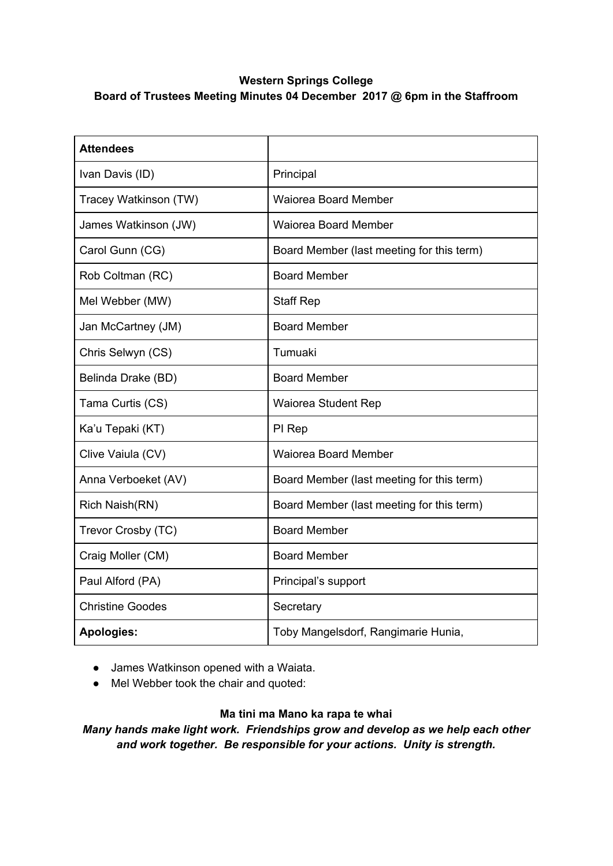## **Western Springs College Board of Trustees Meeting Minutes 04 December 2017 @ 6pm in the Staffroom**

| <b>Attendees</b>        |                                           |
|-------------------------|-------------------------------------------|
| Ivan Davis (ID)         | Principal                                 |
| Tracey Watkinson (TW)   | <b>Waiorea Board Member</b>               |
| James Watkinson (JW)    | <b>Waiorea Board Member</b>               |
| Carol Gunn (CG)         | Board Member (last meeting for this term) |
| Rob Coltman (RC)        | <b>Board Member</b>                       |
| Mel Webber (MW)         | <b>Staff Rep</b>                          |
| Jan McCartney (JM)      | <b>Board Member</b>                       |
| Chris Selwyn (CS)       | Tumuaki                                   |
| Belinda Drake (BD)      | <b>Board Member</b>                       |
| Tama Curtis (CS)        | <b>Waiorea Student Rep</b>                |
| Ka'u Tepaki (KT)        | PI Rep                                    |
| Clive Vaiula (CV)       | <b>Waiorea Board Member</b>               |
| Anna Verboeket (AV)     | Board Member (last meeting for this term) |
| Rich Naish(RN)          | Board Member (last meeting for this term) |
| Trevor Crosby (TC)      | <b>Board Member</b>                       |
| Craig Moller (CM)       | <b>Board Member</b>                       |
| Paul Alford (PA)        | Principal's support                       |
| <b>Christine Goodes</b> | Secretary                                 |
| <b>Apologies:</b>       | Toby Mangelsdorf, Rangimarie Hunia,       |

- James Watkinson opened with a Waiata.
- Mel Webber took the chair and quoted:

## **Ma tini ma Mano ka rapa te whai**

*Many hands make light work. Friendships grow and develop as we help each other and work together. Be responsible for your actions. Unity is strength.*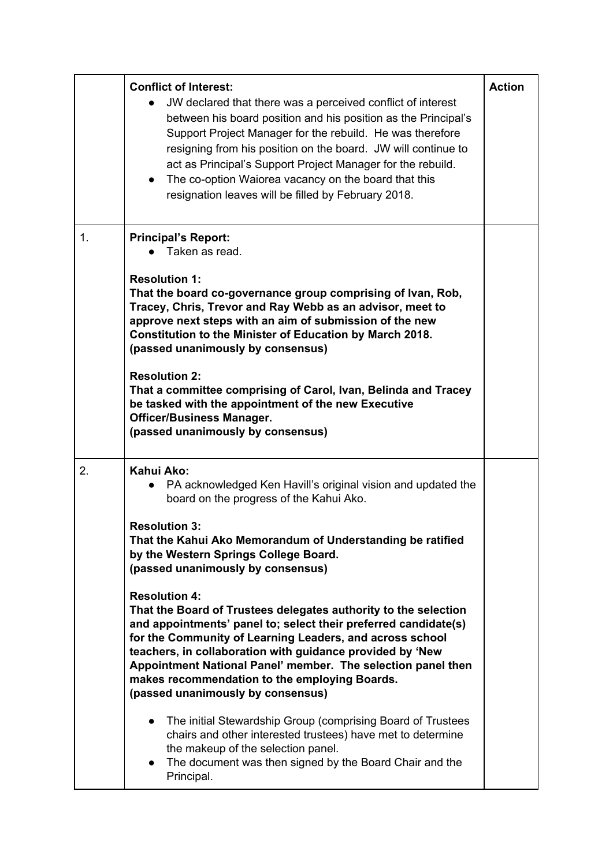|    | <b>Conflict of Interest:</b><br>JW declared that there was a perceived conflict of interest<br>between his board position and his position as the Principal's<br>Support Project Manager for the rebuild. He was therefore<br>resigning from his position on the board. JW will continue to<br>act as Principal's Support Project Manager for the rebuild.<br>The co-option Waiorea vacancy on the board that this<br>resignation leaves will be filled by February 2018.                                                                                                                                                                                                                                                                                                                                                                                                                                                                                                                                     | <b>Action</b> |
|----|---------------------------------------------------------------------------------------------------------------------------------------------------------------------------------------------------------------------------------------------------------------------------------------------------------------------------------------------------------------------------------------------------------------------------------------------------------------------------------------------------------------------------------------------------------------------------------------------------------------------------------------------------------------------------------------------------------------------------------------------------------------------------------------------------------------------------------------------------------------------------------------------------------------------------------------------------------------------------------------------------------------|---------------|
| 1. | <b>Principal's Report:</b><br>Taken as read.<br><b>Resolution 1:</b><br>That the board co-governance group comprising of Ivan, Rob,<br>Tracey, Chris, Trevor and Ray Webb as an advisor, meet to<br>approve next steps with an aim of submission of the new<br>Constitution to the Minister of Education by March 2018.<br>(passed unanimously by consensus)<br><b>Resolution 2:</b><br>That a committee comprising of Carol, Ivan, Belinda and Tracey<br>be tasked with the appointment of the new Executive<br><b>Officer/Business Manager.</b><br>(passed unanimously by consensus)                                                                                                                                                                                                                                                                                                                                                                                                                        |               |
| 2. | Kahui Ako:<br>PA acknowledged Ken Havill's original vision and updated the<br>board on the progress of the Kahui Ako.<br><b>Resolution 3:</b><br>That the Kahui Ako Memorandum of Understanding be ratified<br>by the Western Springs College Board.<br>(passed unanimously by consensus)<br><b>Resolution 4:</b><br>That the Board of Trustees delegates authority to the selection<br>and appointments' panel to; select their preferred candidate(s)<br>for the Community of Learning Leaders, and across school<br>teachers, in collaboration with guidance provided by 'New<br>Appointment National Panel' member. The selection panel then<br>makes recommendation to the employing Boards.<br>(passed unanimously by consensus)<br>The initial Stewardship Group (comprising Board of Trustees<br>$\bullet$<br>chairs and other interested trustees) have met to determine<br>the makeup of the selection panel.<br>The document was then signed by the Board Chair and the<br>$\bullet$<br>Principal. |               |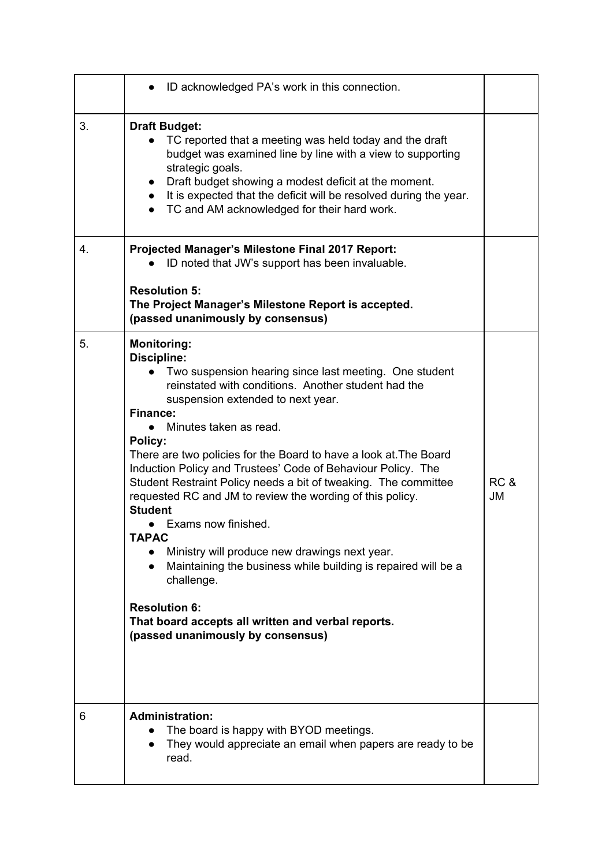|    | ID acknowledged PA's work in this connection.                                                                                                                                                                                                                                                                                                                                                                                                                                                                                                                                                                                                                                                                                                                                                                                                        |                  |
|----|------------------------------------------------------------------------------------------------------------------------------------------------------------------------------------------------------------------------------------------------------------------------------------------------------------------------------------------------------------------------------------------------------------------------------------------------------------------------------------------------------------------------------------------------------------------------------------------------------------------------------------------------------------------------------------------------------------------------------------------------------------------------------------------------------------------------------------------------------|------------------|
| 3. | <b>Draft Budget:</b><br>TC reported that a meeting was held today and the draft<br>budget was examined line by line with a view to supporting<br>strategic goals.<br>Draft budget showing a modest deficit at the moment.<br>$\bullet$<br>• It is expected that the deficit will be resolved during the year.<br>TC and AM acknowledged for their hard work.<br>$\bullet$                                                                                                                                                                                                                                                                                                                                                                                                                                                                            |                  |
| 4. | Projected Manager's Milestone Final 2017 Report:<br>ID noted that JW's support has been invaluable.<br><b>Resolution 5:</b><br>The Project Manager's Milestone Report is accepted.<br>(passed unanimously by consensus)                                                                                                                                                                                                                                                                                                                                                                                                                                                                                                                                                                                                                              |                  |
| 5. | <b>Monitoring:</b><br><b>Discipline:</b><br>Two suspension hearing since last meeting. One student<br>reinstated with conditions. Another student had the<br>suspension extended to next year.<br><b>Finance:</b><br>Minutes taken as read.<br><b>Policy:</b><br>There are two policies for the Board to have a look at. The Board<br>Induction Policy and Trustees' Code of Behaviour Policy. The<br>Student Restraint Policy needs a bit of tweaking. The committee<br>requested RC and JM to review the wording of this policy.<br><b>Student</b><br>Exams now finished.<br>TAPAC<br>Ministry will produce new drawings next year.<br>Maintaining the business while building is repaired will be a<br>$\bullet$<br>challenge.<br><b>Resolution 6:</b><br>That board accepts all written and verbal reports.<br>(passed unanimously by consensus) | RC&<br><b>JM</b> |
| 6  | <b>Administration:</b><br>The board is happy with BYOD meetings.<br>They would appreciate an email when papers are ready to be<br>$\bullet$<br>read.                                                                                                                                                                                                                                                                                                                                                                                                                                                                                                                                                                                                                                                                                                 |                  |